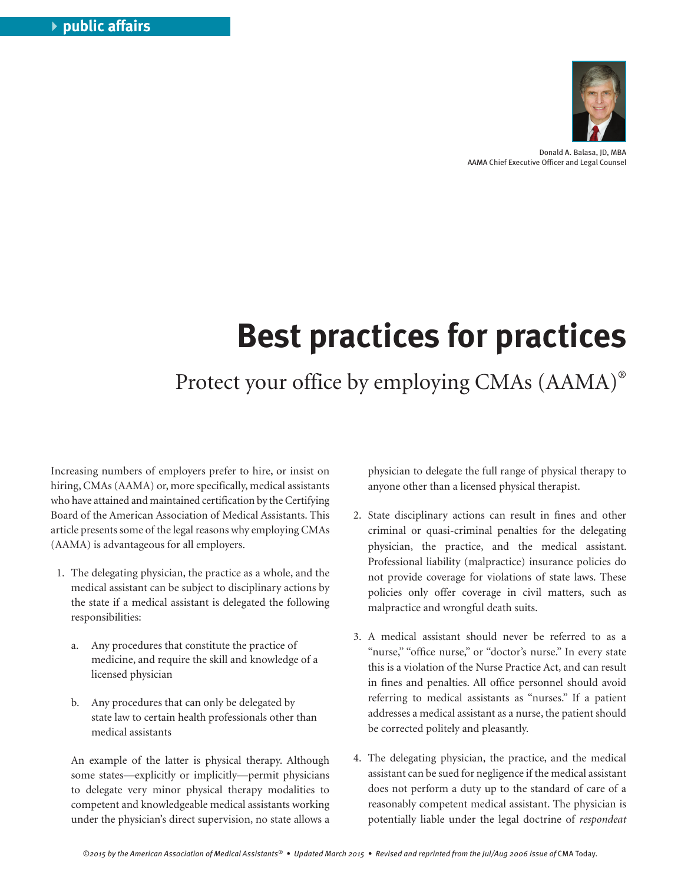

Donald A. Balasa, JD, MBA AAMA Chief Executive Officer and Legal Counsel

## **Best practices for practices**

Protect your office by employing CMAs (AAMA)®

Increasing numbers of employers prefer to hire, or insist on hiring, CMAs (AAMA) or, more specifically, medical assistants who have attained and maintained certification by the Certifying Board of the American Association of Medical Assistants. This article presents some of the legal reasons why employing CMAs (AAMA) is advantageous for all employers.

- 1. The delegating physician, the practice as a whole, and the medical assistant can be subject to disciplinary actions by the state if a medical assistant is delegated the following responsibilities:
	- a. Any procedures that constitute the practice of medicine, and require the skill and knowledge of a licensed physician
	- b. Any procedures that can only be delegated by state law to certain health professionals other than medical assistants

 An example of the latter is physical therapy. Although some states—explicitly or implicitly—permit physicians to delegate very minor physical therapy modalities to competent and knowledgeable medical assistants working under the physician's direct supervision, no state allows a physician to delegate the full range of physical therapy to anyone other than a licensed physical therapist.

- 2. State disciplinary actions can result in fines and other criminal or quasi-criminal penalties for the delegating physician, the practice, and the medical assistant. Professional liability (malpractice) insurance policies do not provide coverage for violations of state laws. These policies only offer coverage in civil matters, such as malpractice and wrongful death suits.
- 3. A medical assistant should never be referred to as a "nurse," "office nurse," or "doctor's nurse." In every state this is a violation of the Nurse Practice Act, and can result in fines and penalties. All office personnel should avoid referring to medical assistants as "nurses." If a patient addresses a medical assistant as a nurse, the patient should be corrected politely and pleasantly.
- 4. The delegating physician, the practice, and the medical assistant can be sued for negligence if the medical assistant does not perform a duty up to the standard of care of a reasonably competent medical assistant. The physician is potentially liable under the legal doctrine of *respondeat*